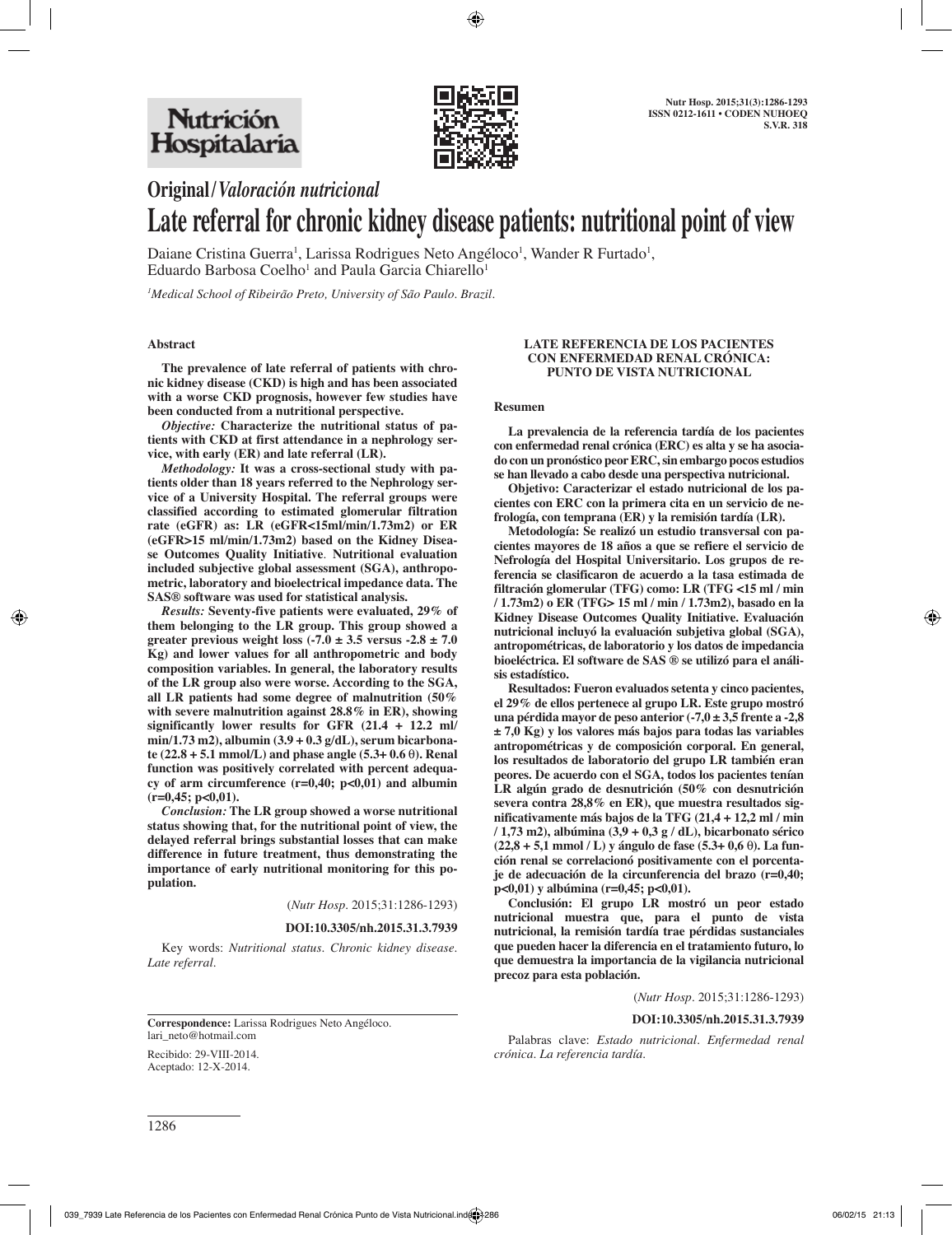

# **Original/***Valoración nutricional* **Late referral for chronic kidney disease patients: nutritional point of view**

Daiane Cristina Guerra<sup>1</sup>, Larissa Rodrigues Neto Angéloco<sup>1</sup>, Wander R Furtado<sup>1</sup>, Eduardo Barbosa Coelho $^1$  and Paula Garcia Chiarello $^1$ 

*1 Medical School of Ribeirão Preto, University of São Paulo. Brazil.*

#### **Abstract**

**The prevalence of late referral of patients with chronic kidney disease (CKD) is high and has been associated with a worse CKD prognosis, however few studies have been conducted from a nutritional perspective.** 

*Objective:* **Characterize the nutritional status of patients with CKD at first attendance in a nephrology service, with early (ER) and late referral (LR).** 

*Methodology:* **It was a cross-sectional study with patients older than 18 years referred to the Nephrology service of a University Hospital. The referral groups were classified according to estimated glomerular filtration rate (eGFR) as: LR (eGFR<15ml/min/1.73m2) or ER (eGFR>15 ml/min/1.73m2) based on the Kidney Disease Outcomes Quality Initiative***.* **Nutritional evaluation included subjective global assessment (SGA), anthropometric, laboratory and bioelectrical impedance data. The SAS® software was used for statistical analysis.** 

*Results:* **Seventy-five patients were evaluated, 29% of them belonging to the LR group. This group showed a greater previous weight loss (-7.0 ± 3.5 versus -2.8 ± 7.0 Kg) and lower values for all anthropometric and body composition variables. In general, the laboratory results of the LR group also were worse. According to the SGA, all LR patients had some degree of malnutrition (50% with severe malnutrition against 28.8% in ER), showing significantly lower results for GFR (21.4 + 12.2 ml/ min/1.73 m2), albumin (3.9 + 0.3 g/dL), serum bicarbonate (22.8 + 5.1 mmol/L) and phase angle (5.3+ 0.6** θ**). Renal function was positively correlated with percent adequacy of arm circumference (r=0,40; p<0,01) and albumin (r=0,45; p<0,01).** 

*Conclusion:* **The LR group showed a worse nutritional status showing that, for the nutritional point of view, the delayed referral brings substantial losses that can make difference in future treatment, thus demonstrating the importance of early nutritional monitoring for this population.**

(*Nutr Hosp.* 2015;31:1286-1293)

#### **DOI:10.3305/nh.2015.31.3.7939**

Key words: *Nutritional status. Chronic kidney disease. Late referral.*

#### **LATE REFERENCIA DE LOS PACIENTES CON ENFERMEDAD RENAL CRÓNICA: PUNTO DE VISTA NUTRICIONAL**

#### **Resumen**

**La prevalencia de la referencia tardía de los pacientes con enfermedad renal crónica (ERC) es alta y se ha asociado con un pronóstico peor ERC, sin embargo pocos estudios se han llevado a cabo desde una perspectiva nutricional.** 

**Objetivo: Caracterizar el estado nutricional de los pacientes con ERC con la primera cita en un servicio de nefrología, con temprana (ER) y la remisión tardía (LR).** 

**Metodología: Se realizó un estudio transversal con pacientes mayores de 18 años a que se refiere el servicio de Nefrología del Hospital Universitario. Los grupos de referencia se clasificaron de acuerdo a la tasa estimada de filtración glomerular (TFG) como: LR (TFG <15 ml / min / 1.73m2) o ER (TFG> 15 ml / min / 1.73m2), basado en la Kidney Disease Outcomes Quality Initiative. Evaluación nutricional incluyó la evaluación subjetiva global (SGA), antropométricas, de laboratorio y los datos de impedancia bioeléctrica. El software de SAS ® se utilizó para el análisis estadístico.** 

**Resultados: Fueron evaluados setenta y cinco pacientes, el 29% de ellos pertenece al grupo LR. Este grupo mostró una pérdida mayor de peso anterior (-7,0 ± 3,5 frente a -2,8 ± 7,0 Kg) y los valores más bajos para todas las variables antropométricas y de composición corporal. En general, los resultados de laboratorio del grupo LR también eran peores. De acuerdo con el SGA, todos los pacientes tenían LR algún grado de desnutrición (50% con desnutrición severa contra 28,8% en ER), que muestra resultados significativamente más bajos de la TFG (21,4 + 12,2 ml / min / 1,73 m2), albúmina (3,9 + 0,3 g / dL), bicarbonato sérico (22,8 + 5,1 mmol / L) y ángulo de fase (5.3+ 0,6** θ**). La función renal se correlacionó positivamente con el porcentaje de adecuación de la circunferencia del brazo (r=0,40; p<0,01) y albúmina (r=0,45; p<0,01).** 

**Conclusión: El grupo LR mostró un peor estado nutricional muestra que, para el punto de vista nutricional, la remisión tardía trae pérdidas sustanciales que pueden hacer la diferencia en el tratamiento futuro, lo que demuestra la importancia de la vigilancia nutricional precoz para esta población.**

(*Nutr Hosp.* 2015;31:1286-1293)

#### **DOI:10.3305/nh.2015.31.3.7939**

Palabras clave: *Estado nutricional. Enfermedad renal crónica. La referencia tardía.*

**Correspondence:** Larissa Rodrigues Neto Angéloco. lari\_neto@hotmail.com

Recibido: 29-VIII-2014. Aceptado: 12-X-2014.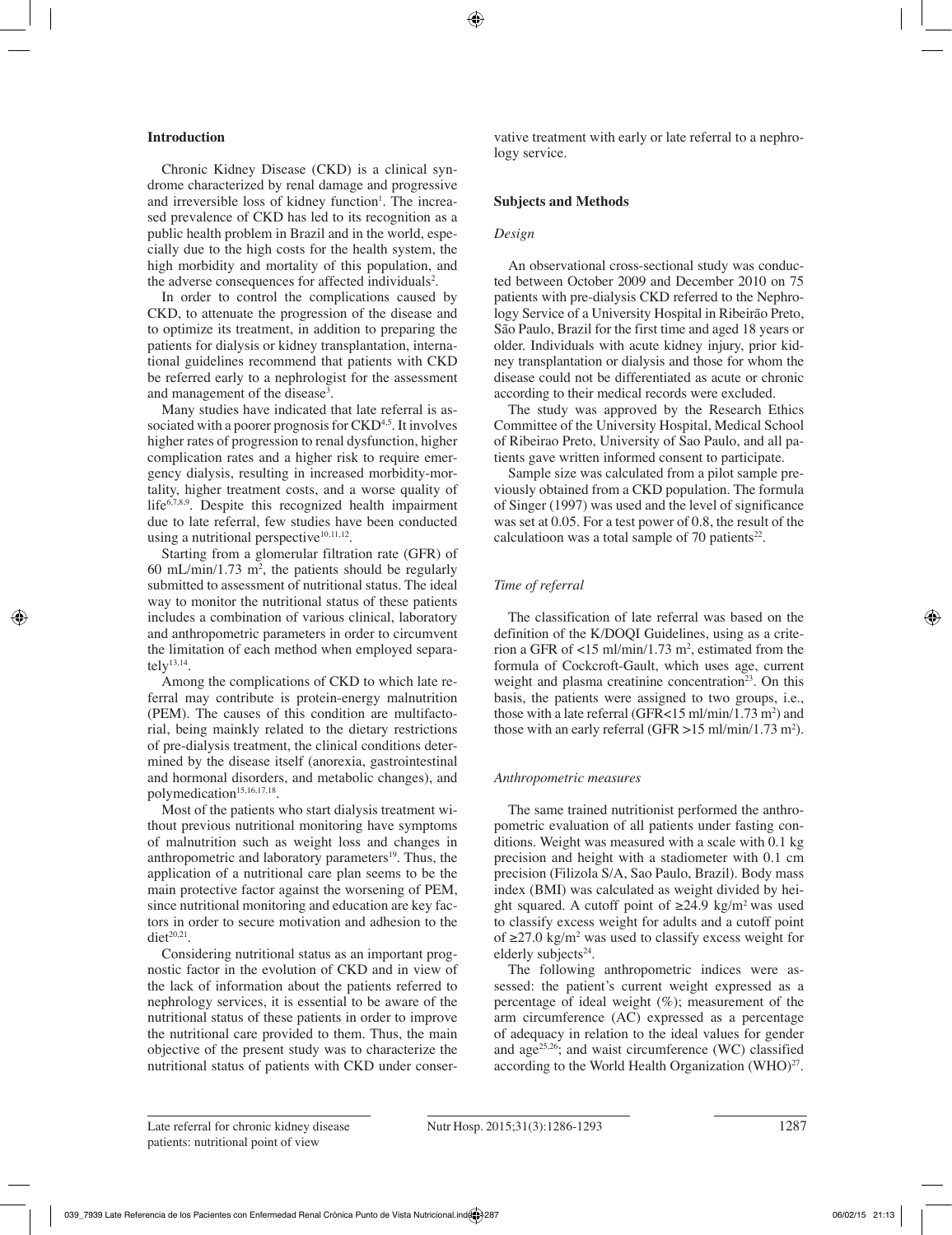# **Introduction**

Chronic Kidney Disease (CKD) is a clinical syndrome characterized by renal damage and progressive and irreversible loss of kidney function<sup>1</sup>. The increased prevalence of CKD has led to its recognition as a public health problem in Brazil and in the world, especially due to the high costs for the health system, the high morbidity and mortality of this population, and the adverse consequences for affected individuals<sup>2</sup>.

In order to control the complications caused by CKD, to attenuate the progression of the disease and to optimize its treatment, in addition to preparing the patients for dialysis or kidney transplantation, international guidelines recommend that patients with CKD be referred early to a nephrologist for the assessment and management of the disease<sup>3</sup>.

Many studies have indicated that late referral is associated with a poorer prognosis for CKD<sup>4,5</sup>. It involves higher rates of progression to renal dysfunction, higher complication rates and a higher risk to require emergency dialysis, resulting in increased morbidity-mortality, higher treatment costs, and a worse quality of life<sup>6,7,8,9</sup>. Despite this recognized health impairment due to late referral, few studies have been conducted using a nutritional perspective<sup>10,11,12</sup>.

Starting from a glomerular filtration rate (GFR) of 60 mL/min/1.73 m<sup>2</sup>, the patients should be regularly submitted to assessment of nutritional status. The ideal way to monitor the nutritional status of these patients includes a combination of various clinical, laboratory and anthropometric parameters in order to circumvent the limitation of each method when employed separately $^{13,14}$ .

Among the complications of CKD to which late referral may contribute is protein-energy malnutrition (PEM). The causes of this condition are multifactorial, being mainkly related to the dietary restrictions of pre-dialysis treatment, the clinical conditions determined by the disease itself (anorexia, gastrointestinal and hormonal disorders, and metabolic changes), and polymedication<sup>15,16,17,18</sup>.

Most of the patients who start dialysis treatment without previous nutritional monitoring have symptoms of malnutrition such as weight loss and changes in anthropometric and laboratory parameters $19$ . Thus, the application of a nutritional care plan seems to be the main protective factor against the worsening of PEM, since nutritional monitoring and education are key factors in order to secure motivation and adhesion to the  $\text{dist}^{20,21}$ .

Considering nutritional status as an important prognostic factor in the evolution of CKD and in view of the lack of information about the patients referred to nephrology services, it is essential to be aware of the nutritional status of these patients in order to improve the nutritional care provided to them. Thus, the main objective of the present study was to characterize the nutritional status of patients with CKD under conservative treatment with early or late referral to a nephrology service.

# **Subjects and Methods**

# *Design*

An observational cross-sectional study was conducted between October 2009 and December 2010 on 75 patients with pre-dialysis CKD referred to the Nephrology Service of a University Hospital in Ribeirão Preto, São Paulo, Brazil for the first time and aged 18 years or older. Individuals with acute kidney injury, prior kidney transplantation or dialysis and those for whom the disease could not be differentiated as acute or chronic according to their medical records were excluded.

The study was approved by the Research Ethics Committee of the University Hospital, Medical School of Ribeirao Preto, University of Sao Paulo, and all patients gave written informed consent to participate.

Sample size was calculated from a pilot sample previously obtained from a CKD population. The formula of Singer (1997) was used and the level of significance was set at 0.05. For a test power of 0.8, the result of the calculatioon was a total sample of 70 patients $22$ .

# *Time of referral*

The classification of late referral was based on the definition of the K/DOQI Guidelines, using as a criterion a GFR of  $\langle 15 \text{ ml/min}/1.73 \text{ m}^2$ , estimated from the formula of Cockcroft-Gault, which uses age, current weight and plasma creatinine concentration<sup>23</sup>. On this basis, the patients were assigned to two groups, i.e., those with a late referral (GFR $<$ 15 ml/min/1.73 m<sup>2</sup>) and those with an early referral (GFR  $>15$  ml/min/1.73 m<sup>2</sup>).

# *Anthropometric measures*

The same trained nutritionist performed the anthropometric evaluation of all patients under fasting conditions. Weight was measured with a scale with 0.1 kg precision and height with a stadiometer with 0.1 cm precision (Filizola S/A, Sao Paulo, Brazil). Body mass index (BMI) was calculated as weight divided by height squared. A cutoff point of ≥24.9 kg/m<sup>2</sup> was used to classify excess weight for adults and a cutoff point of  $≥27.0 \text{ kg/m}^2$  was used to classify excess weight for elderly subjects<sup>24</sup>.

The following anthropometric indices were assessed: the patient's current weight expressed as a percentage of ideal weight  $(\%)$ ; measurement of the arm circumference (AC) expressed as a percentage of adequacy in relation to the ideal values for gender and age25,26; and waist circumference (WC) classified according to the World Health Organization (WHO)<sup>27</sup>.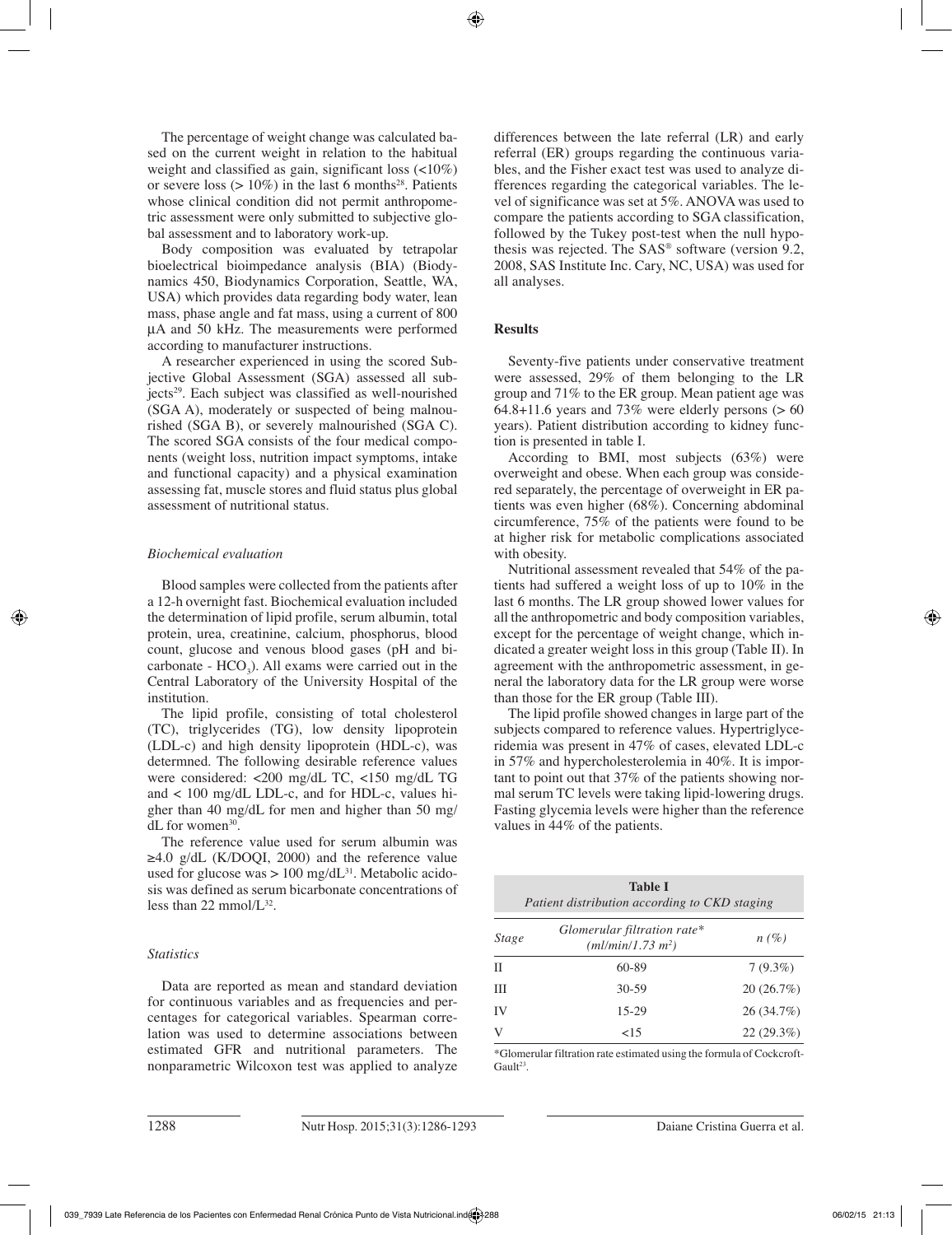The percentage of weight change was calculated based on the current weight in relation to the habitual weight and classified as gain, significant loss (<10%) or severe loss  $(>10\%)$  in the last 6 months<sup>28</sup>. Patients whose clinical condition did not permit anthropometric assessment were only submitted to subjective global assessment and to laboratory work-up.

Body composition was evaluated by tetrapolar bioelectrical bioimpedance analysis (BIA) (Biodynamics 450, Biodynamics Corporation, Seattle, WA, USA) which provides data regarding body water, lean mass, phase angle and fat mass, using a current of 800 μA and 50 kHz. The measurements were performed according to manufacturer instructions.

A researcher experienced in using the scored Subjective Global Assessment (SGA) assessed all subjects29. Each subject was classified as well-nourished (SGA A), moderately or suspected of being malnourished (SGA B), or severely malnourished (SGA C). The scored SGA consists of the four medical components (weight loss, nutrition impact symptoms, intake and functional capacity) and a physical examination assessing fat, muscle stores and fluid status plus global assessment of nutritional status.

# *Biochemical evaluation*

Blood samples were collected from the patients after a 12-h overnight fast. Biochemical evaluation included the determination of lipid profile, serum albumin, total protein, urea, creatinine, calcium, phosphorus, blood count, glucose and venous blood gases (pH and bicarbonate -  $HCO_3$ ). All exams were carried out in the Central Laboratory of the University Hospital of the institution.

The lipid profile, consisting of total cholesterol (TC), triglycerides (TG), low density lipoprotein (LDL-c) and high density lipoprotein (HDL-c), was determned. The following desirable reference values were considered: <200 mg/dL TC, <150 mg/dL TG and < 100 mg/dL LDL-c, and for HDL-c, values higher than 40 mg/dL for men and higher than 50 mg/ dL for women<sup>30</sup>.

The reference value used for serum albumin was  $\geq 4.0$  g/dL (K/DOOI, 2000) and the reference value used for glucose was  $> 100$  mg/dL<sup>31</sup>. Metabolic acidosis was defined as serum bicarbonate concentrations of less than 22 mmol/ $L^{32}$ .

# *Statistics*

Data are reported as mean and standard deviation for continuous variables and as frequencies and percentages for categorical variables. Spearman correlation was used to determine associations between estimated GFR and nutritional parameters. The nonparametric Wilcoxon test was applied to analyze differences between the late referral (LR) and early referral (ER) groups regarding the continuous variables, and the Fisher exact test was used to analyze differences regarding the categorical variables. The level of significance was set at 5%. ANOVA was used to compare the patients according to SGA classification, followed by the Tukey post-test when the null hypothesis was rejected. The SAS® software (version 9.2, 2008, SAS Institute Inc. Cary, NC, USA) was used for all analyses.

# **Results**

Seventy-five patients under conservative treatment were assessed, 29% of them belonging to the LR group and 71% to the ER group. Mean patient age was  $64.8+11.6$  years and 73% were elderly persons ( $> 60$ ) years). Patient distribution according to kidney function is presented in table I.

According to BMI, most subjects (63%) were overweight and obese. When each group was considered separately, the percentage of overweight in ER patients was even higher (68%). Concerning abdominal circumference, 75% of the patients were found to be at higher risk for metabolic complications associated with obesity.

Nutritional assessment revealed that 54% of the patients had suffered a weight loss of up to 10% in the last 6 months. The LR group showed lower values for all the anthropometric and body composition variables, except for the percentage of weight change, which indicated a greater weight loss in this group (Table II). In agreement with the anthropometric assessment, in general the laboratory data for the LR group were worse than those for the ER group (Table III).

The lipid profile showed changes in large part of the subjects compared to reference values. Hypertriglyceridemia was present in 47% of cases, elevated LDL-c in 57% and hypercholesterolemia in 40%. It is important to point out that 37% of the patients showing normal serum TC levels were taking lipid-lowering drugs. Fasting glycemia levels were higher than the reference values in 44% of the patients.

|              | <b>Table I</b><br>Patient distribution according to CKD staging |            |  |
|--------------|-----------------------------------------------------------------|------------|--|
| <i>Stage</i> | Glomerular filtration rate*<br>(ml/min/1.73 m <sup>2</sup> )    | n(%        |  |
| H            | $60 - 89$                                                       | $7(9.3\%)$ |  |
| Ш            | $30 - 59$                                                       | 20(26.7%)  |  |
| IV           | 15-29                                                           | 26 (34.7%) |  |
| V            | ${<}15$                                                         | 22(29.3%)  |  |

\*Glomerular filtration rate estimated using the formula of Cockcroft-Gault<sup>23</sup>.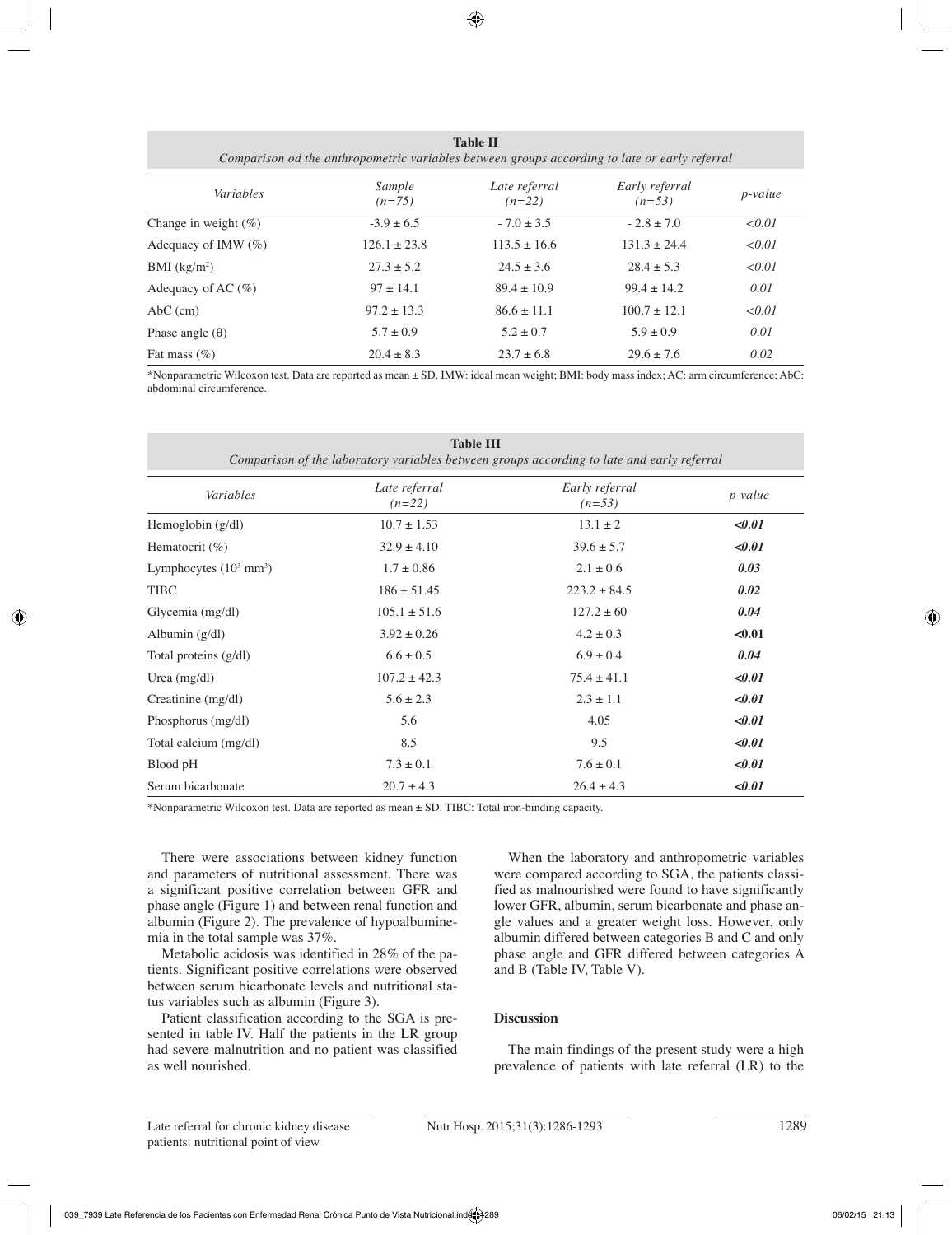|                          | Table II<br>Comparison od the anthropometric variables between groups according to late or early referral |                           |                            |                 |
|--------------------------|-----------------------------------------------------------------------------------------------------------|---------------------------|----------------------------|-----------------|
| Variables                | Sample<br>$(n=75)$                                                                                        | Late referral<br>$(n=22)$ | Early referral<br>$(n=53)$ | <i>p</i> -value |
| Change in weight $(\% )$ | $-3.9 \pm 6.5$                                                                                            | $-7.0 \pm 3.5$            | $-2.8 \pm 7.0$             | < 0.01          |
| Adequacy of IMW $(\%)$   | $126.1 \pm 23.8$                                                                                          | $113.5 \pm 16.6$          | $131.3 \pm 24.4$           | < 0.01          |
| BMI $(kg/m2)$            | $27.3 \pm 5.2$                                                                                            | $24.5 \pm 3.6$            | $28.4 \pm 5.3$             | < 0.01          |
| Adequacy of AC $(\% )$   | $97 \pm 14.1$                                                                                             | $89.4 \pm 10.9$           | $99.4 \pm 14.2$            | 0.01            |
| $AbC$ (cm)               | $97.2 \pm 13.3$                                                                                           | $86.6 \pm 11.1$           | $100.7 \pm 12.1$           | < 0.01          |
| Phase angle $(\theta)$   | $5.7 \pm 0.9$                                                                                             | $5.2 \pm 0.7$             | $5.9 \pm 0.9$              | 0.01            |
| Fat mass $(\% )$         | $20.4 \pm 8.3$                                                                                            | $23.7 \pm 6.8$            | $29.6 \pm 7.6$             | 0.02            |

\*Nonparametric Wilcoxon test. Data are reported as mean ± SD. IMW: ideal mean weight; BMI: body mass index; AC: arm circumference; AbC: abdominal circumference.

| <b>Table III</b><br>Comparison of the laboratory variables between groups according to late and early referral |                           |                            |            |
|----------------------------------------------------------------------------------------------------------------|---------------------------|----------------------------|------------|
| Variables                                                                                                      | Late referral<br>$(n=22)$ | Early referral<br>$(n=53)$ | $p$ -value |
| Hemoglobin $(g/dl)$                                                                                            | $10.7 \pm 1.53$           | $13.1 \pm 2$               | $0.01$     |
| Hematocrit $(\%)$                                                                                              | $32.9 \pm 4.10$           | $39.6 \pm 5.7$             | $0.01$     |
| Lymphocytes $(10^3 \text{ mm}^3)$                                                                              | $1.7 \pm 0.86$            | $2.1 \pm 0.6$              | 0.03       |
| <b>TIBC</b>                                                                                                    | $186 \pm 51.45$           | $223.2 \pm 84.5$           | 0.02       |
| Glycemia (mg/dl)                                                                                               | $105.1 \pm 51.6$          | $127.2 \pm 60$             | 0.04       |
| Albumin $(g/dl)$                                                                                               | $3.92 \pm 0.26$           | $4.2 \pm 0.3$              | < 0.01     |
| Total proteins (g/dl)                                                                                          | $6.6 \pm 0.5$             | $6.9 \pm 0.4$              | 0.04       |
| Urea $(mg/dl)$                                                                                                 | $107.2 \pm 42.3$          | $75.4 \pm 41.1$            | $0.01$     |
| Creatinine (mg/dl)                                                                                             | $5.6 \pm 2.3$             | $2.3 \pm 1.1$              | $0.01$     |
| Phosphorus (mg/dl)                                                                                             | 5.6                       | 4.05                       | $0.01$     |
| Total calcium (mg/dl)                                                                                          | 8.5                       | 9.5                        | $0.01$     |
| Blood pH                                                                                                       | $7.3 \pm 0.1$             | $7.6 \pm 0.1$              | $0.01$     |
| Serum bicarbonate                                                                                              | $20.7 \pm 4.3$            | $26.4 \pm 4.3$             | $0.01$     |

\*Nonparametric Wilcoxon test. Data are reported as mean ± SD. TIBC: Total iron-binding capacity.

There were associations between kidney function and parameters of nutritional assessment. There was a significant positive correlation between GFR and phase angle (Figure 1) and between renal function and albumin (Figure 2). The prevalence of hypoalbuminemia in the total sample was 37%.

Metabolic acidosis was identified in 28% of the patients. Significant positive correlations were observed between serum bicarbonate levels and nutritional status variables such as albumin (Figure 3).

Patient classification according to the SGA is presented in table IV. Half the patients in the LR group had severe malnutrition and no patient was classified as well nourished.

When the laboratory and anthropometric variables were compared according to SGA, the patients classified as malnourished were found to have significantly lower GFR, albumin, serum bicarbonate and phase angle values and a greater weight loss. However, only albumin differed between categories B and C and only phase angle and GFR differed between categories A and B (Table IV, Table V).

# **Discussion**

The main findings of the present study were a high prevalence of patients with late referral (LR) to the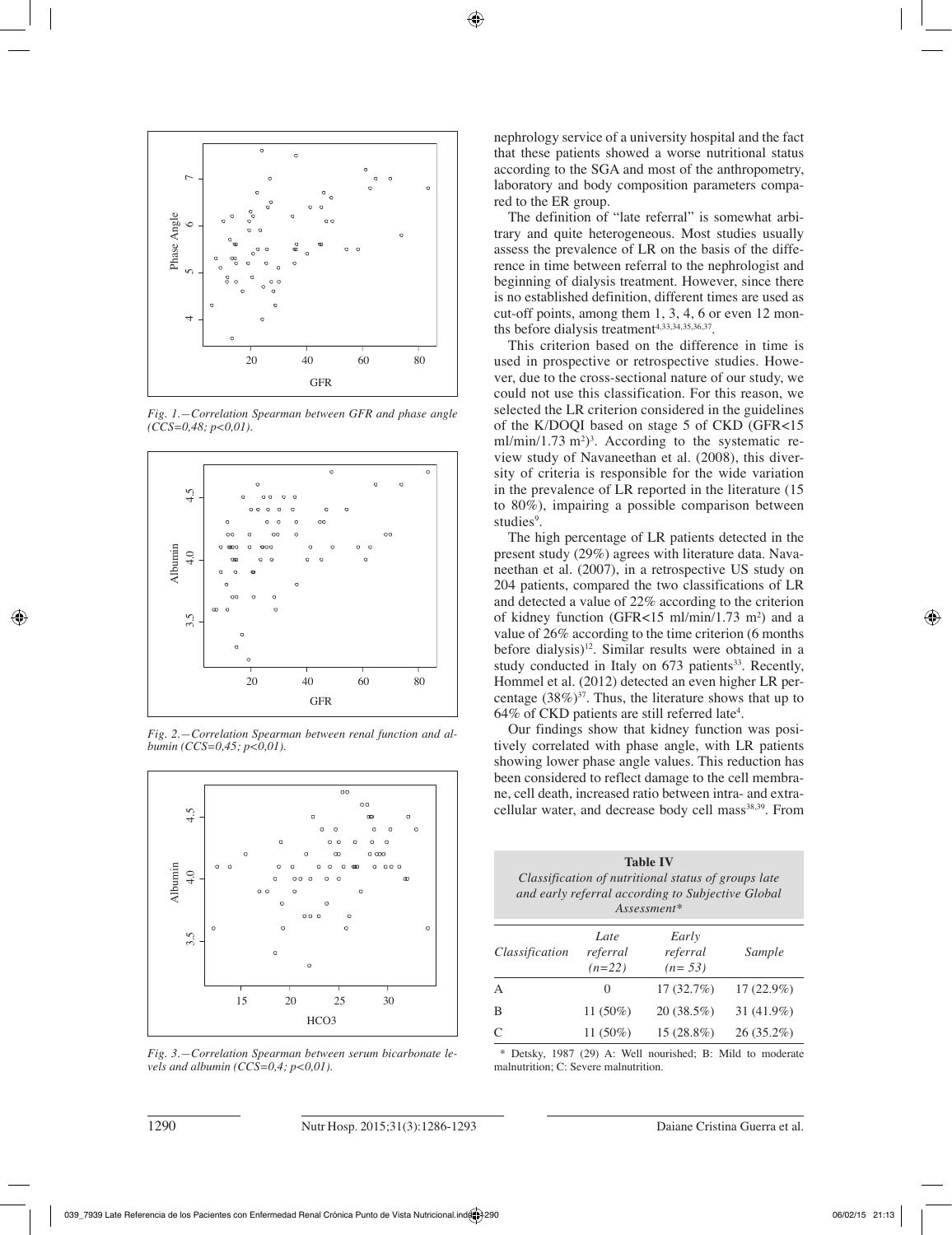

*Fig. 1.—Correlation Spearman between GFR and phase angle (CCS=0,48; p<0,01).*



*Fig. 2.—Correlation Spearman between renal function and albumin (CCS=0,45; p<0,01).*



*Fig. 3.—Correlation Spearman between serum bicarbonate levels and albumin (CCS=0,4; p<0,01).* 

nephrology service of a university hospital and the fact that these patients showed a worse nutritional status according to the SGA and most of the anthropometry, laboratory and body composition parameters compared to the ER group.

The definition of "late referral" is somewhat arbitrary and quite heterogeneous. Most studies usually assess the prevalence of LR on the basis of the difference in time between referral to the nephrologist and beginning of dialysis treatment. However, since there is no established definition, different times are used as cut-off points, among them 1, 3, 4, 6 or even 12 months before dialysis treatment<sup>4,33,34,35,36,37</sup>.

This criterion based on the difference in time is used in prospective or retrospective studies. However, due to the cross-sectional nature of our study, we could not use this classification. For this reason, we selected the LR criterion considered in the guidelines of the K/DOQI based on stage 5 of CKD (GFR<15 ml/min/1.73 m<sup>2</sup>)<sup>3</sup>. According to the systematic review study of Navaneethan et al. (2008), this diversity of criteria is responsible for the wide variation in the prevalence of LR reported in the literature (15 to 80%), impairing a possible comparison between studies<sup>9</sup>.

The high percentage of LR patients detected in the present study (29%) agrees with literature data. Navaneethan et al. (2007), in a retrospective US study on 204 patients, compared the two classifications of LR and detected a value of 22% according to the criterion of kidney function (GFR $<15$  ml/min/1.73 m<sup>2</sup>) and a value of 26% according to the time criterion (6 months before dialysis)<sup>12</sup>. Similar results were obtained in a study conducted in Italy on  $673$  patients<sup>33</sup>. Recently, Hommel et al. (2012) detected an even higher LR percentage  $(38\%)^{37}$ . Thus, the literature shows that up to  $64\%$  of CKD patients are still referred late<sup>4</sup>.

Our findings show that kidney function was positively correlated with phase angle, with LR patients showing lower phase angle values. This reduction has been considered to reflect damage to the cell membrane, cell death, increased ratio between intra- and extracellular water, and decrease body cell mass<sup>38,39</sup>. From

|                | <b>Table IV</b><br>Classification of nutritional status of groups late<br>and early referral according to Subjective Global<br>$Assessment*$ |                               |              |  |
|----------------|----------------------------------------------------------------------------------------------------------------------------------------------|-------------------------------|--------------|--|
| Classification | Late<br>referral<br>$(n=22)$                                                                                                                 | Early<br>referral<br>$(n=53)$ | Sample       |  |
| A              | 0                                                                                                                                            | 17(32.7%)                     | $17(22.9\%)$ |  |
| B              | 11 (50%)                                                                                                                                     | 20(38.5%)                     | 31 (41.9%)   |  |
| C              | 11 $(50\%)$                                                                                                                                  | 15 (28.8%)                    | $26(35.2\%)$ |  |

 \* Detsky, 1987 (29) A: Well nourished; B: Mild to moderate malnutrition; C: Severe malnutrition.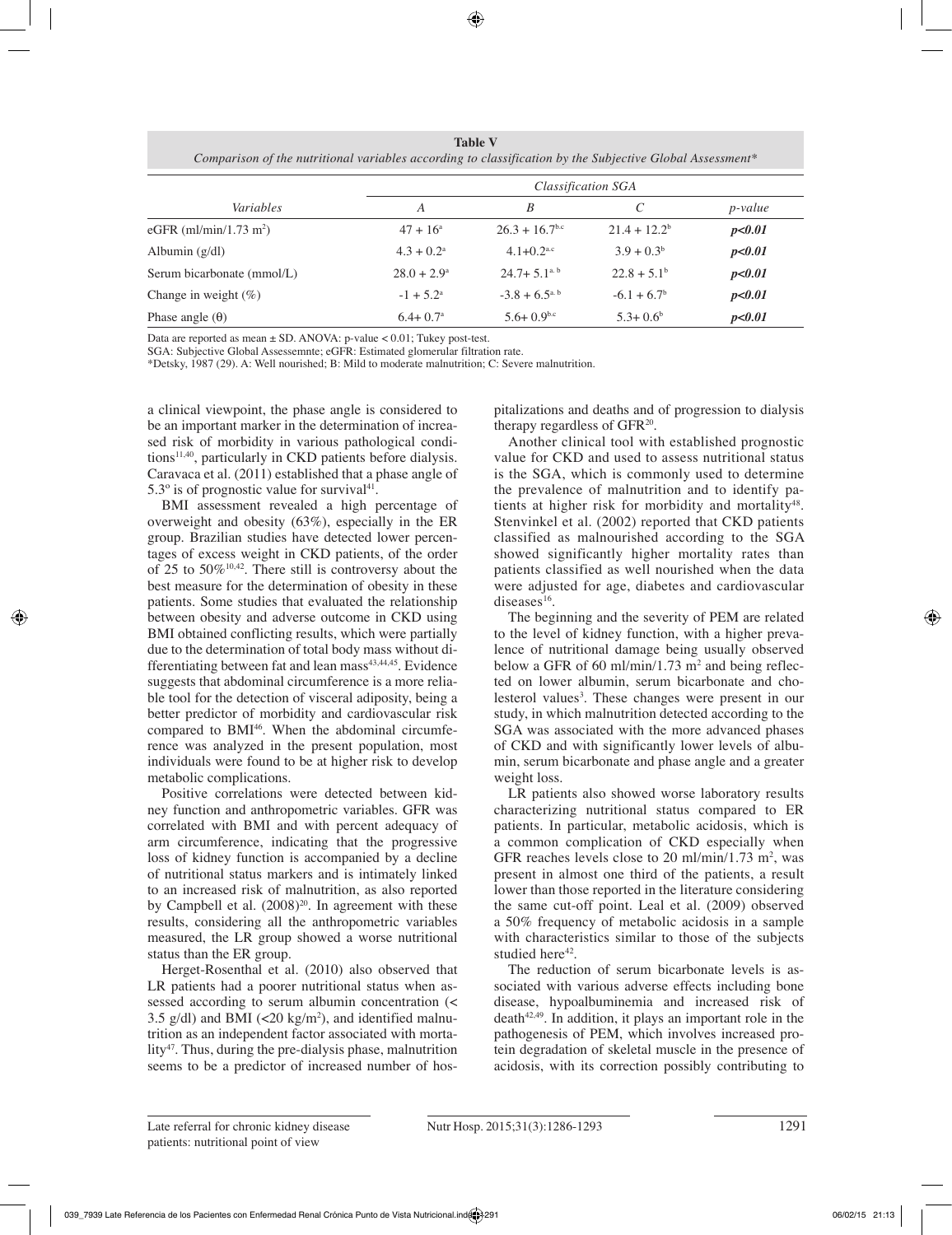**Table V** *Comparison of the nutritional variables according to classification by the Subjective Global Assessment\**

|                            | Classification SGA     |                              |                 |                |
|----------------------------|------------------------|------------------------------|-----------------|----------------|
| Variables                  | A                      | B                            | C               | <i>p-value</i> |
| eGFR $(ml/min/1.73 m2)$    | $47 + 16^{\circ}$      | $26.3 + 16.7$ <sup>b.c</sup> | $21.4 + 12.2^b$ | p<0.01         |
| Albumin $(g/dl)$           | $4.3 + 0.2^{\text{a}}$ | $4.1 + 0.2$ <sup>a.c</sup>   | $3.9 + 0.3^b$   | p<0.01         |
| Serum bicarbonate (mmol/L) | $28.0 + 2.9^{\circ}$   | $24.7 + 5.1a. b$             | $22.8 + 5.1b$   | p<0.01         |
| Change in weight $(\%)$    | $-1 + 5.2^{\circ}$     | $-3.8 + 6.5$ <sup>a, b</sup> | $-6.1 + 6.7b$   | p<0.01         |
| Phase angle $(\theta)$     | $6.4 + 0.7^{\circ}$    | $5.6+0.9^{b.c}$              | $5.3 + 0.6^b$   | p<0.01         |

Data are reported as mean ± SD. ANOVA: p-value < 0.01; Tukey post-test.

SGA: Subjective Global Assessemnte; eGFR: Estimated glomerular filtration rate.

\*Detsky, 1987 (29). A: Well nourished; B: Mild to moderate malnutrition; C: Severe malnutrition.

a clinical viewpoint, the phase angle is considered to be an important marker in the determination of increased risk of morbidity in various pathological conditions $11,40$ , particularly in CKD patients before dialysis. Caravaca et al. (2011) established that a phase angle of  $5.3^\circ$  is of prognostic value for survival<sup>41</sup>.

BMI assessment revealed a high percentage of overweight and obesity (63%), especially in the ER group. Brazilian studies have detected lower percentages of excess weight in CKD patients, of the order of 25 to  $50\%$ <sup>10,42</sup>. There still is controversy about the best measure for the determination of obesity in these patients. Some studies that evaluated the relationship between obesity and adverse outcome in CKD using BMI obtained conflicting results, which were partially due to the determination of total body mass without differentiating between fat and lean mass<sup>43,44,45</sup>. Evidence suggests that abdominal circumference is a more reliable tool for the detection of visceral adiposity, being a better predictor of morbidity and cardiovascular risk compared to BMI<sup>46</sup>. When the abdominal circumference was analyzed in the present population, most individuals were found to be at higher risk to develop metabolic complications.

Positive correlations were detected between kidney function and anthropometric variables. GFR was correlated with BMI and with percent adequacy of arm circumference, indicating that the progressive loss of kidney function is accompanied by a decline of nutritional status markers and is intimately linked to an increased risk of malnutrition, as also reported by Campbell et al.  $(2008)^{20}$ . In agreement with these results, considering all the anthropometric variables measured, the LR group showed a worse nutritional status than the ER group.

Herget-Rosenthal et al. (2010) also observed that LR patients had a poorer nutritional status when assessed according to serum albumin concentration (< 3.5  $g/dl$ ) and BMI (<20  $kg/m<sup>2</sup>$ ), and identified malnutrition as an independent factor associated with mortality<sup>47</sup>. Thus, during the pre-dialysis phase, malnutrition seems to be a predictor of increased number of hospitalizations and deaths and of progression to dialysis therapy regardless of GFR20.

Another clinical tool with established prognostic value for CKD and used to assess nutritional status is the SGA, which is commonly used to determine the prevalence of malnutrition and to identify patients at higher risk for morbidity and mortality<sup>48</sup>. Stenvinkel et al. (2002) reported that CKD patients classified as malnourished according to the SGA showed significantly higher mortality rates than patients classified as well nourished when the data were adjusted for age, diabetes and cardiovascular diseases<sup>16</sup>.

The beginning and the severity of PEM are related to the level of kidney function, with a higher prevalence of nutritional damage being usually observed below a GFR of 60 ml/min/1.73  $m^2$  and being reflected on lower albumin, serum bicarbonate and cholesterol values<sup>3</sup>. These changes were present in our study, in which malnutrition detected according to the SGA was associated with the more advanced phases of CKD and with significantly lower levels of albumin, serum bicarbonate and phase angle and a greater weight loss.

LR patients also showed worse laboratory results characterizing nutritional status compared to ER patients. In particular, metabolic acidosis, which is a common complication of CKD especially when GFR reaches levels close to 20 ml/min/1.73 m<sup>2</sup>, was present in almost one third of the patients, a result lower than those reported in the literature considering the same cut-off point. Leal et al. (2009) observed a 50% frequency of metabolic acidosis in a sample with characteristics similar to those of the subjects studied here<sup>42</sup>.

The reduction of serum bicarbonate levels is associated with various adverse effects including bone disease, hypoalbuminemia and increased risk of death<sup>42,49</sup>. In addition, it plays an important role in the pathogenesis of PEM, which involves increased protein degradation of skeletal muscle in the presence of acidosis, with its correction possibly contributing to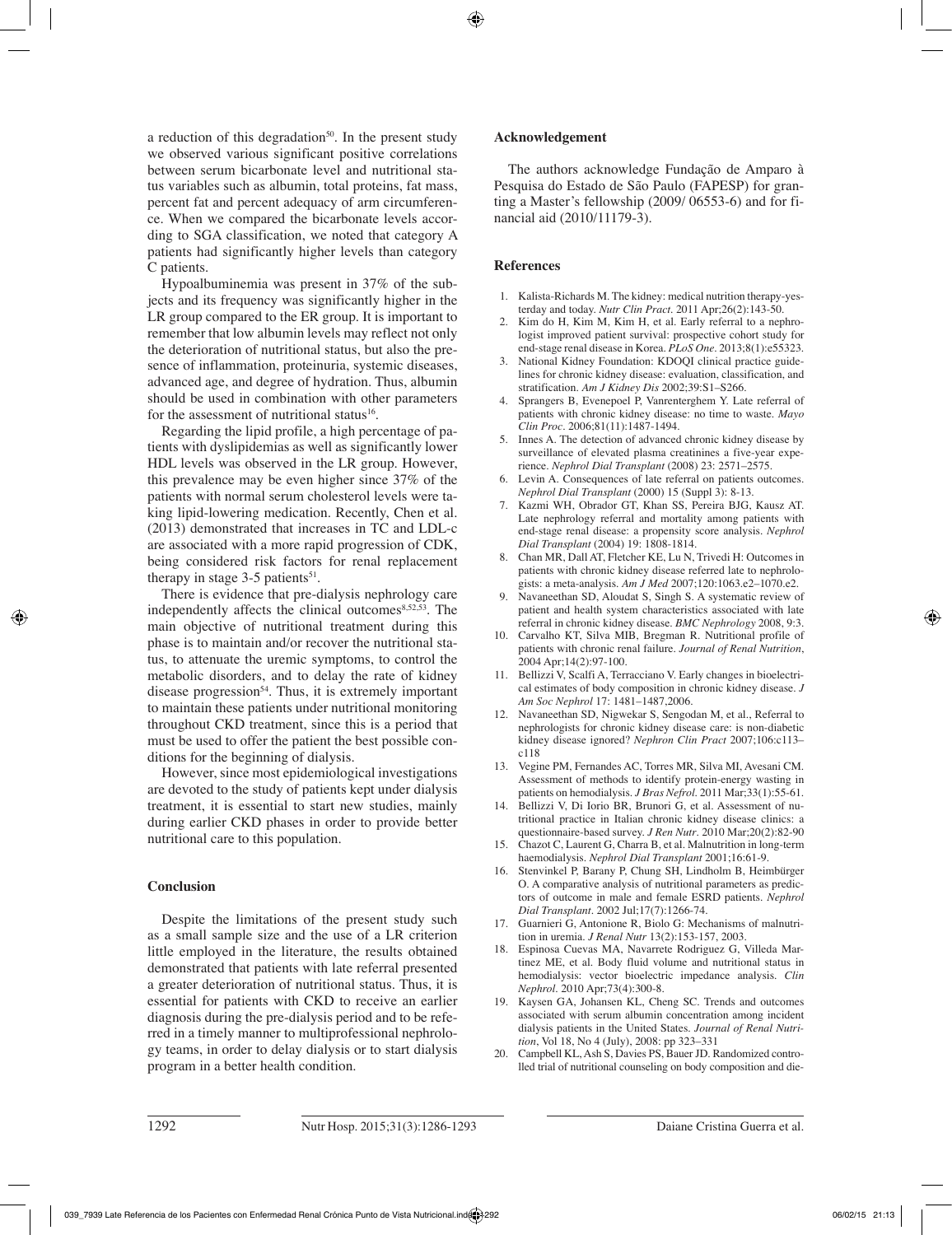a reduction of this degradation<sup>50</sup>. In the present study we observed various significant positive correlations between serum bicarbonate level and nutritional status variables such as albumin, total proteins, fat mass, percent fat and percent adequacy of arm circumference. When we compared the bicarbonate levels according to SGA classification, we noted that category A patients had significantly higher levels than category C patients.

Hypoalbuminemia was present in 37% of the subjects and its frequency was significantly higher in the LR group compared to the ER group. It is important to remember that low albumin levels may reflect not only the deterioration of nutritional status, but also the presence of inflammation, proteinuria, systemic diseases, advanced age, and degree of hydration. Thus, albumin should be used in combination with other parameters for the assessment of nutritional status<sup>16</sup>.

Regarding the lipid profile, a high percentage of patients with dyslipidemias as well as significantly lower HDL levels was observed in the LR group. However, this prevalence may be even higher since 37% of the patients with normal serum cholesterol levels were taking lipid-lowering medication. Recently, Chen et al. (2013) demonstrated that increases in TC and LDL-c are associated with a more rapid progression of CDK, being considered risk factors for renal replacement therapy in stage  $3-5$  patients<sup>51</sup>.

There is evidence that pre-dialysis nephrology care independently affects the clinical outcomes $8,52,53$ . The main objective of nutritional treatment during this phase is to maintain and/or recover the nutritional status, to attenuate the uremic symptoms, to control the metabolic disorders, and to delay the rate of kidney disease progression<sup>54</sup>. Thus, it is extremely important to maintain these patients under nutritional monitoring throughout CKD treatment, since this is a period that must be used to offer the patient the best possible conditions for the beginning of dialysis.

However, since most epidemiological investigations are devoted to the study of patients kept under dialysis treatment, it is essential to start new studies, mainly during earlier CKD phases in order to provide better nutritional care to this population.

# **Conclusion**

Despite the limitations of the present study such as a small sample size and the use of a LR criterion little employed in the literature, the results obtained demonstrated that patients with late referral presented a greater deterioration of nutritional status. Thus, it is essential for patients with CKD to receive an earlier diagnosis during the pre-dialysis period and to be referred in a timely manner to multiprofessional nephrology teams, in order to delay dialysis or to start dialysis program in a better health condition.

## **Acknowledgement**

The authors acknowledge Fundação de Amparo à Pesquisa do Estado de São Paulo (FAPESP) for granting a Master's fellowship (2009/ 06553-6) and for financial aid (2010/11179-3).

## **References**

- 1. Kalista-Richards M. The kidney: medical nutrition therapy-yesterday and today. *Nutr Clin Pract*. 2011 Apr;26(2):143-50.
- 2. Kim do H, Kim M, Kim H, et al. Early referral to a nephrologist improved patient survival: prospective cohort study for end-stage renal disease in Korea. *PLoS One*. 2013;8(1):e55323.
- 3. National Kidney Foundation: KDOQI clinical practice guidelines for chronic kidney disease: evaluation, classification, and stratification. *Am J Kidney Dis* 2002;39:S1–S266.
- 4. Sprangers B, Evenepoel P, Vanrenterghem Y. Late referral of patients with chronic kidney disease: no time to waste. *Mayo Clin Proc.* 2006;81(11):1487-1494.
- 5. Innes A. The detection of advanced chronic kidney disease by surveillance of elevated plasma creatinines a five-year experience. *Nephrol Dial Transplant* (2008) 23: 2571–2575.
- Levin A. Consequences of late referral on patients outcomes. *Nephrol Dial Transplant* (2000) 15 (Suppl 3): 8-13.
- 7. Kazmi WH, Obrador GT, Khan SS, Pereira BJG, Kausz AT. Late nephrology referral and mortality among patients with end-stage renal disease: a propensity score analysis. *Nephrol Dial Transplant* (2004) 19: 1808-1814.
- 8. Chan MR, Dall AT, Fletcher KE, Lu N, Trivedi H: Outcomes in patients with chronic kidney disease referred late to nephrologists: a meta-analysis. *Am J Med* 2007;120:1063.e2–1070.e2.
- 9. Navaneethan SD, Aloudat S, Singh S. A systematic review of patient and health system characteristics associated with late referral in chronic kidney disease. *BMC Nephrology* 2008, 9:3.
- 10. Carvalho KT, Silva MIB, Bregman R. Nutritional profile of patients with chronic renal failure. *Journal of Renal Nutrition*, 2004 Apr;14(2):97-100.
- 11. Bellizzi V, Scalfi A, Terracciano V. Early changes in bioelectrical estimates of body composition in chronic kidney disease. *J Am Soc Nephrol* 17: 1481–1487,2006.
- 12. Navaneethan SD, Nigwekar S, Sengodan M, et al., Referral to nephrologists for chronic kidney disease care: is non-diabetic kidney disease ignored? *Nephron Clin Pract* 2007;106:c113– c118
- 13. Vegine PM, Fernandes AC, Torres MR, Silva MI, Avesani CM. Assessment of methods to identify protein-energy wasting in patients on hemodialysis. *J Bras Nefrol*. 2011 Mar;33(1):55-61.
- 14. Bellizzi V, Di Iorio BR, Brunori G, et al. Assessment of nutritional practice in Italian chronic kidney disease clinics: a questionnaire-based survey. *J Ren Nutr*. 2010 Mar;20(2):82-90
- 15. Chazot C, Laurent G, Charra B, et al. Malnutrition in long-term haemodialysis. *Nephrol Dial Transplant* 2001;16:61-9.
- 16. Stenvinkel P, Barany P, Chung SH, Lindholm B, Heimbürger O. A comparative analysis of nutritional parameters as predictors of outcome in male and female ESRD patients. *Nephrol Dial Transplant.* 2002 Jul;17(7):1266-74.
- 17. Guarnieri G, Antonione R, Biolo G: Mechanisms of malnutrition in uremia. *J Renal Nutr* 13(2):153-157, 2003.
- 18. Espinosa Cuevas MA, Navarrete Rodriguez G, Villeda Martinez ME, et al. Body fluid volume and nutritional status in hemodialysis: vector bioelectric impedance analysis. *Clin Nephrol.* 2010 Apr;73(4):300-8.
- 19. Kaysen GA, Johansen KL, Cheng SC. Trends and outcomes associated with serum albumin concentration among incident dialysis patients in the United States. *Journal of Renal Nutrition*, Vol 18, No 4 (July), 2008: pp 323–331
- Campbell KL, Ash S, Davies PS, Bauer JD. Randomized controlled trial of nutritional counseling on body composition and die-